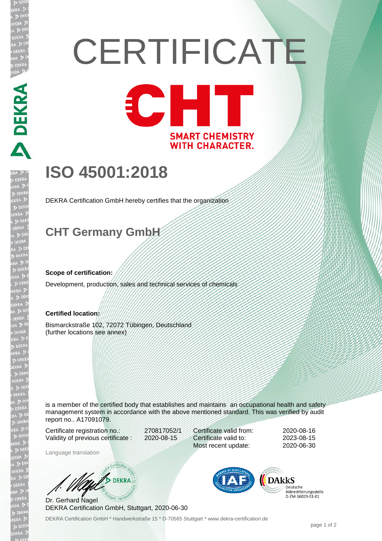# **CERTIFICATE** CHT

**SMART CHEMISTRY WITH CHARACTER.** 

## **ISO 45001:2018**

DEKRA Certification GmbH hereby certifies that the organization

### **CHT Germany GmbH**

#### **Scope of certification:**

**DEKRA PRE** 

Development, production, sales and technical services of chemicals

#### **Certified location:**

Bismarckstraße 102, 72072 Tübingen, Deutschland (further locations see annex)

is a member of the certified body that establishes and maintains an occupational health and safety management system in accordance with the above mentioned standard. This was verified by audit report no.. A17091079.

Certificate registration no.: 270817052/1 Validity of previous certificate : 2020-08-15

Certificate valid from: 2020-08-16 Certificate valid to: 2023-08-15 Most recent update: 2020-06-30

Language translation

**DEKRA** 

Dr. Gerhard Nagel DEKRA Certification GmbH, Stuttgart, 2020-06-30

DEKRA Certification GmbH \* Handwerkstraße 15 \* D-70565 Stuttgart \* www.dekra-certification.de



Deutsche Akkreditierungsstelle D-ZM-16029-01-01